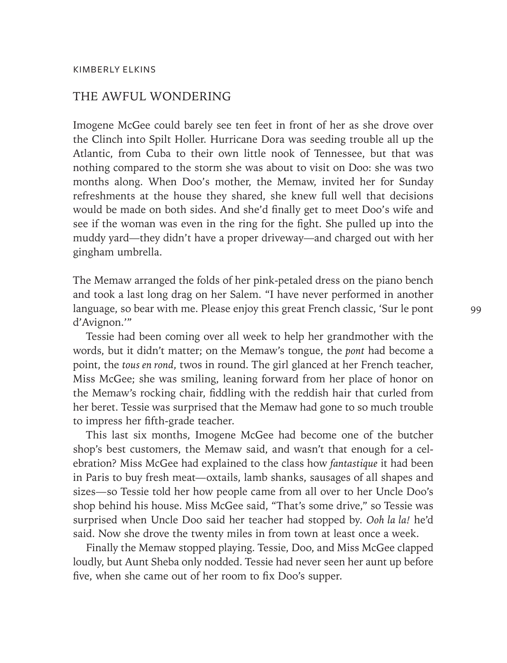## The Awful Wondering

Imogene McGee could barely see ten feet in front of her as she drove over the Clinch into Spilt Holler. Hurricane Dora was seeding trouble all up the Atlantic, from Cuba to their own little nook of Tennessee, but that was nothing compared to the storm she was about to visit on Doo: she was two months along. When Doo's mother, the Memaw, invited her for Sunday refreshments at the house they shared, she knew full well that decisions would be made on both sides. And she'd finally get to meet Doo's wife and see if the woman was even in the ring for the fight. She pulled up into the muddy yard—they didn't have a proper driveway—and charged out with her gingham umbrella.

The Memaw arranged the folds of her pink-petaled dress on the piano bench and took a last long drag on her Salem. "I have never performed in another language, so bear with me. Please enjoy this great French classic, 'Sur le pont d'Avignon.'"

Tessie had been coming over all week to help her grandmother with the words, but it didn't matter; on the Memaw's tongue, the *pont* had become a point, the *tous en rond*, twos in round. The girl glanced at her French teacher, Miss McGee; she was smiling, leaning forward from her place of honor on the Memaw's rocking chair, fiddling with the reddish hair that curled from her beret. Tessie was surprised that the Memaw had gone to so much trouble to impress her fifth-grade teacher.

This last six months, Imogene McGee had become one of the butcher shop's best customers, the Memaw said, and wasn't that enough for a celebration? Miss McGee had explained to the class how *fantastique* it had been in Paris to buy fresh meat—oxtails, lamb shanks, sausages of all shapes and sizes—so Tessie told her how people came from all over to her Uncle Doo's shop behind his house. Miss McGee said, "That's some drive," so Tessie was surprised when Uncle Doo said her teacher had stopped by. *Ooh la la!* he'd said. Now she drove the twenty miles in from town at least once a week.

Finally the Memaw stopped playing. Tessie, Doo, and Miss McGee clapped loudly, but Aunt Sheba only nodded. Tessie had never seen her aunt up before five, when she came out of her room to fix Doo's supper.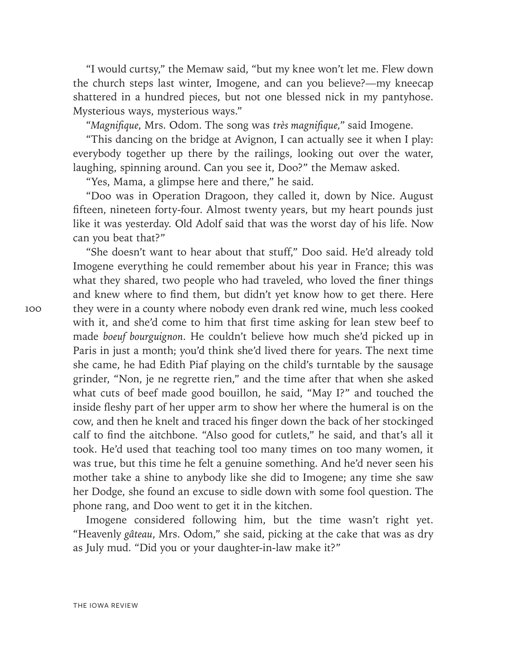"I would curtsy," the Memaw said, "but my knee won't let me. Flew down the church steps last winter, Imogene, and can you believe?—my kneecap shattered in a hundred pieces, but not one blessed nick in my pantyhose. Mysterious ways, mysterious ways."

"*Magnifique*, Mrs. Odom. The song was *très magnifique,*" said Imogene.

"This dancing on the bridge at Avignon, I can actually see it when I play: everybody together up there by the railings, looking out over the water, laughing, spinning around. Can you see it, Doo?" the Memaw asked.

"Yes, Mama, a glimpse here and there," he said.

"Doo was in Operation Dragoon, they called it, down by Nice. August fifteen, nineteen forty-four. Almost twenty years, but my heart pounds just like it was yesterday. Old Adolf said that was the worst day of his life. Now can you beat that?"

"She doesn't want to hear about that stuff," Doo said. He'd already told Imogene everything he could remember about his year in France; this was what they shared, two people who had traveled, who loved the finer things and knew where to find them, but didn't yet know how to get there. Here they were in a county where nobody even drank red wine, much less cooked with it, and she'd come to him that first time asking for lean stew beef to made *boeuf bourguignon*. He couldn't believe how much she'd picked up in Paris in just a month; you'd think she'd lived there for years. The next time she came, he had Edith Piaf playing on the child's turntable by the sausage grinder, "Non, je ne regrette rien," and the time after that when she asked what cuts of beef made good bouillon, he said, "May I?" and touched the inside fleshy part of her upper arm to show her where the humeral is on the cow, and then he knelt and traced his finger down the back of her stockinged calf to find the aitchbone. "Also good for cutlets," he said, and that's all it took. He'd used that teaching tool too many times on too many women, it was true, but this time he felt a genuine something. And he'd never seen his mother take a shine to anybody like she did to Imogene; any time she saw her Dodge, she found an excuse to sidle down with some fool question. The phone rang, and Doo went to get it in the kitchen.

Imogene considered following him, but the time wasn't right yet. "Heavenly *gâteau*, Mrs. Odom," she said, picking at the cake that was as dry as July mud. "Did you or your daughter-in-law make it?"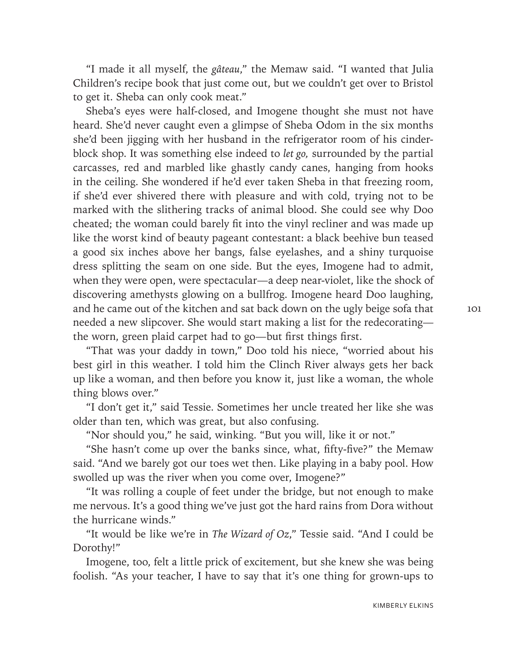"I made it all myself, the *gâteau*," the Memaw said. "I wanted that Julia Children's recipe book that just come out, but we couldn't get over to Bristol to get it. Sheba can only cook meat."

Sheba's eyes were half-closed, and Imogene thought she must not have heard. She'd never caught even a glimpse of Sheba Odom in the six months she'd been jigging with her husband in the refrigerator room of his cinderblock shop. It was something else indeed to *let go,* surrounded by the partial carcasses, red and marbled like ghastly candy canes, hanging from hooks in the ceiling. She wondered if he'd ever taken Sheba in that freezing room, if she'd ever shivered there with pleasure and with cold, trying not to be marked with the slithering tracks of animal blood. She could see why Doo cheated; the woman could barely fit into the vinyl recliner and was made up like the worst kind of beauty pageant contestant: a black beehive bun teased a good six inches above her bangs, false eyelashes, and a shiny turquoise dress splitting the seam on one side. But the eyes, Imogene had to admit, when they were open, were spectacular—a deep near-violet, like the shock of discovering amethysts glowing on a bullfrog. Imogene heard Doo laughing, and he came out of the kitchen and sat back down on the ugly beige sofa that needed a new slipcover. She would start making a list for the redecorating the worn, green plaid carpet had to go—but first things first.

"That was your daddy in town," Doo told his niece, "worried about his best girl in this weather. I told him the Clinch River always gets her back up like a woman, and then before you know it, just like a woman, the whole thing blows over."

"I don't get it," said Tessie. Sometimes her uncle treated her like she was older than ten, which was great, but also confusing.

"Nor should you," he said, winking. "But you will, like it or not."

"She hasn't come up over the banks since, what, fifty-five?" the Memaw said. "And we barely got our toes wet then. Like playing in a baby pool. How swolled up was the river when you come over, Imogene?"

"It was rolling a couple of feet under the bridge, but not enough to make me nervous. It's a good thing we've just got the hard rains from Dora without the hurricane winds."

"It would be like we're in *The Wizard of Oz*," Tessie said. "And I could be Dorothy!"

Imogene, too, felt a little prick of excitement, but she knew she was being foolish. "As your teacher, I have to say that it's one thing for grown-ups to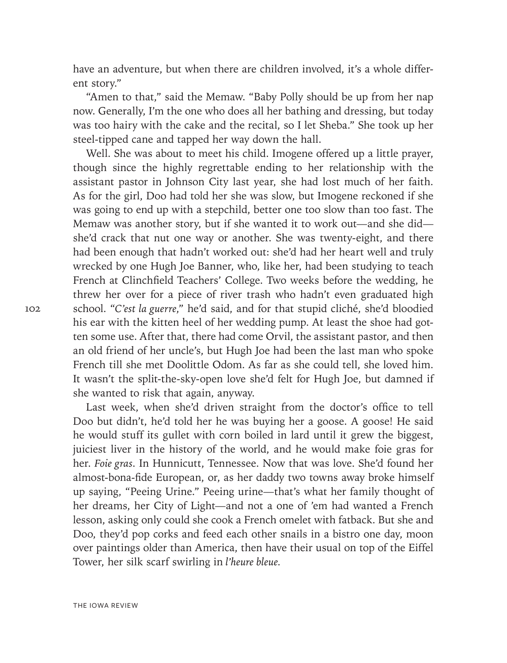have an adventure, but when there are children involved, it's a whole different story."

"Amen to that," said the Memaw. "Baby Polly should be up from her nap now. Generally, I'm the one who does all her bathing and dressing, but today was too hairy with the cake and the recital, so I let Sheba." She took up her steel-tipped cane and tapped her way down the hall.

Well. She was about to meet his child. Imogene offered up a little prayer, though since the highly regrettable ending to her relationship with the assistant pastor in Johnson City last year, she had lost much of her faith. As for the girl, Doo had told her she was slow, but Imogene reckoned if she was going to end up with a stepchild, better one too slow than too fast. The Memaw was another story, but if she wanted it to work out—and she did she'd crack that nut one way or another. She was twenty-eight, and there had been enough that hadn't worked out: she'd had her heart well and truly wrecked by one Hugh Joe Banner, who, like her, had been studying to teach French at Clinchfield Teachers' College. Two weeks before the wedding, he threw her over for a piece of river trash who hadn't even graduated high school. "*C'est la guerre*," he'd said, and for that stupid cliché, she'd bloodied his ear with the kitten heel of her wedding pump. At least the shoe had gotten some use. After that, there had come Orvil, the assistant pastor, and then an old friend of her uncle's, but Hugh Joe had been the last man who spoke French till she met Doolittle Odom. As far as she could tell, she loved him. It wasn't the split-the-sky-open love she'd felt for Hugh Joe, but damned if she wanted to risk that again, anyway.

Last week, when she'd driven straight from the doctor's office to tell Doo but didn't, he'd told her he was buying her a goose. A goose! He said he would stuff its gullet with corn boiled in lard until it grew the biggest, juiciest liver in the history of the world, and he would make foie gras for her. *Foie gras*. In Hunnicutt, Tennessee. Now that was love. She'd found her almost-bona-fide European, or, as her daddy two towns away broke himself up saying, "Peeing Urine." Peeing urine—that's what her family thought of her dreams, her City of Light—and not a one of 'em had wanted a French lesson, asking only could she cook a French omelet with fatback. But she and Doo, they'd pop corks and feed each other snails in a bistro one day, moon over paintings older than America, then have their usual on top of the Eiffel Tower, her silk scarf swirling in *l'heure bleue.*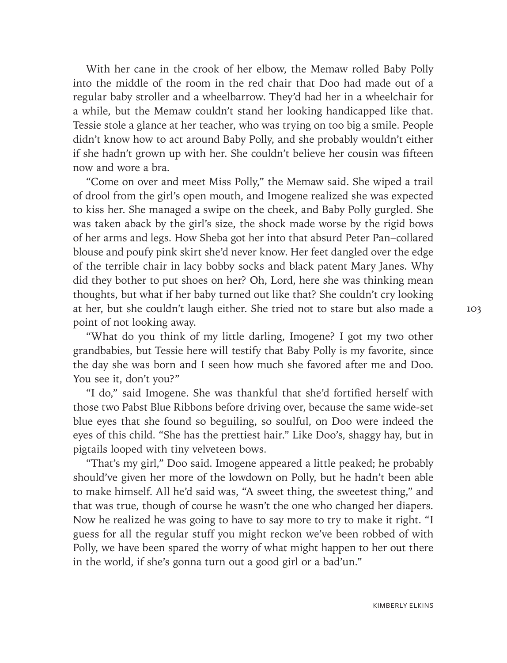With her cane in the crook of her elbow, the Memaw rolled Baby Polly into the middle of the room in the red chair that Doo had made out of a regular baby stroller and a wheelbarrow. They'd had her in a wheelchair for a while, but the Memaw couldn't stand her looking handicapped like that. Tessie stole a glance at her teacher, who was trying on too big a smile. People didn't know how to act around Baby Polly, and she probably wouldn't either if she hadn't grown up with her. She couldn't believe her cousin was fifteen now and wore a bra.

"Come on over and meet Miss Polly," the Memaw said. She wiped a trail of drool from the girl's open mouth, and Imogene realized she was expected to kiss her. She managed a swipe on the cheek, and Baby Polly gurgled. She was taken aback by the girl's size, the shock made worse by the rigid bows of her arms and legs. How Sheba got her into that absurd Peter Pan–collared blouse and poufy pink skirt she'd never know. Her feet dangled over the edge of the terrible chair in lacy bobby socks and black patent Mary Janes. Why did they bother to put shoes on her? Oh, Lord, here she was thinking mean thoughts, but what if her baby turned out like that? She couldn't cry looking at her, but she couldn't laugh either. She tried not to stare but also made a point of not looking away.

"What do you think of my little darling, Imogene? I got my two other grandbabies, but Tessie here will testify that Baby Polly is my favorite, since the day she was born and I seen how much she favored after me and Doo. You see it, don't you?"

"I do," said Imogene. She was thankful that she'd fortified herself with those two Pabst Blue Ribbons before driving over, because the same wide-set blue eyes that she found so beguiling, so soulful, on Doo were indeed the eyes of this child. "She has the prettiest hair." Like Doo's, shaggy hay, but in pigtails looped with tiny velveteen bows.

"That's my girl," Doo said. Imogene appeared a little peaked; he probably should've given her more of the lowdown on Polly, but he hadn't been able to make himself. All he'd said was, "A sweet thing, the sweetest thing," and that was true, though of course he wasn't the one who changed her diapers. Now he realized he was going to have to say more to try to make it right. "I guess for all the regular stuff you might reckon we've been robbed of with Polly, we have been spared the worry of what might happen to her out there in the world, if she's gonna turn out a good girl or a bad'un."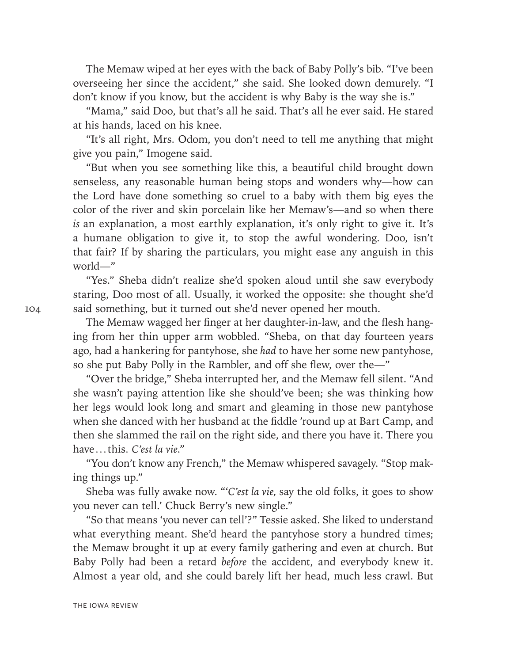The Memaw wiped at her eyes with the back of Baby Polly's bib. "I've been overseeing her since the accident," she said. She looked down demurely. "I don't know if you know, but the accident is why Baby is the way she is."

"Mama," said Doo, but that's all he said. That's all he ever said. He stared at his hands, laced on his knee.

"It's all right, Mrs. Odom, you don't need to tell me anything that might give you pain," Imogene said.

"But when you see something like this, a beautiful child brought down senseless, any reasonable human being stops and wonders why—how can the Lord have done something so cruel to a baby with them big eyes the color of the river and skin porcelain like her Memaw's—and so when there *is* an explanation, a most earthly explanation, it's only right to give it. It's a humane obligation to give it, to stop the awful wondering. Doo, isn't that fair? If by sharing the particulars, you might ease any anguish in this world—"

"Yes." Sheba didn't realize she'd spoken aloud until she saw everybody staring, Doo most of all. Usually, it worked the opposite: she thought she'd said something, but it turned out she'd never opened her mouth.

The Memaw wagged her finger at her daughter-in-law, and the flesh hanging from her thin upper arm wobbled. "Sheba, on that day fourteen years ago, had a hankering for pantyhose, she *had* to have her some new pantyhose, so she put Baby Polly in the Rambler, and off she flew, over the—"

"Over the bridge," Sheba interrupted her, and the Memaw fell silent. "And she wasn't paying attention like she should've been; she was thinking how her legs would look long and smart and gleaming in those new pantyhose when she danced with her husband at the fiddle 'round up at Bart Camp, and then she slammed the rail on the right side, and there you have it. There you have...this. *C'est la vie*."

"You don't know any French," the Memaw whispered savagely. "Stop making things up."

Sheba was fully awake now. "'*C'est la vie,* say the old folks, it goes to show you never can tell.' Chuck Berry's new single."

"So that means 'you never can tell'?" Tessie asked. She liked to understand what everything meant. She'd heard the pantyhose story a hundred times; the Memaw brought it up at every family gathering and even at church. But Baby Polly had been a retard *before* the accident, and everybody knew it. Almost a year old, and she could barely lift her head, much less crawl. But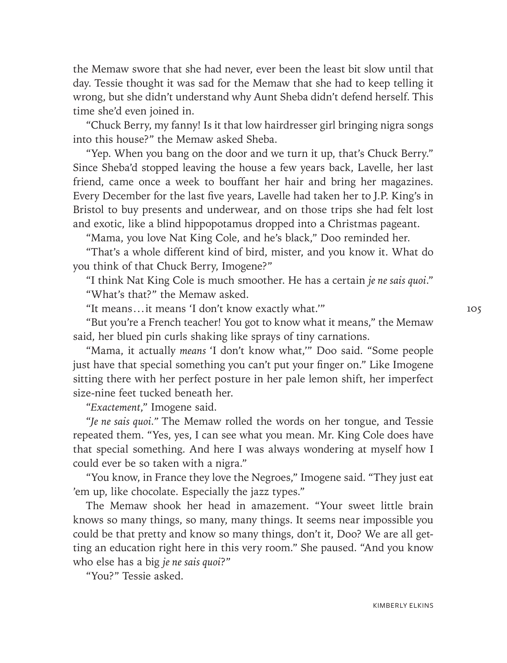the Memaw swore that she had never, ever been the least bit slow until that day. Tessie thought it was sad for the Memaw that she had to keep telling it wrong, but she didn't understand why Aunt Sheba didn't defend herself. This time she'd even joined in.

"Chuck Berry, my fanny! Is it that low hairdresser girl bringing nigra songs into this house?" the Memaw asked Sheba.

"Yep. When you bang on the door and we turn it up, that's Chuck Berry." Since Sheba'd stopped leaving the house a few years back, Lavelle, her last friend, came once a week to bouffant her hair and bring her magazines. Every December for the last five years, Lavelle had taken her to J.P. King's in Bristol to buy presents and underwear, and on those trips she had felt lost and exotic, like a blind hippopotamus dropped into a Christmas pageant.

"Mama, you love Nat King Cole, and he's black," Doo reminded her.

"That's a whole different kind of bird, mister, and you know it. What do you think of that Chuck Berry, Imogene?"

"I think Nat King Cole is much smoother. He has a certain *je ne sais quoi*." "What's that?" the Memaw asked.

"It means...it means 'I don't know exactly what.'"

"But you're a French teacher! You got to know what it means," the Memaw said, her blued pin curls shaking like sprays of tiny carnations.

"Mama, it actually *means* 'I don't know what,'" Doo said. "Some people just have that special something you can't put your finger on." Like Imogene sitting there with her perfect posture in her pale lemon shift, her imperfect size-nine feet tucked beneath her.

"*Exactement*," Imogene said.

"*Je ne sais quoi."* The Memaw rolled the words on her tongue, and Tessie repeated them. "Yes, yes, I can see what you mean. Mr. King Cole does have that special something. And here I was always wondering at myself how I could ever be so taken with a nigra."

"You know, in France they love the Negroes," Imogene said. "They just eat 'em up, like chocolate. Especially the jazz types."

The Memaw shook her head in amazement. "Your sweet little brain knows so many things, so many, many things. It seems near impossible you could be that pretty and know so many things, don't it, Doo? We are all getting an education right here in this very room." She paused. "And you know who else has a big *je ne sais quoi*?"

"You?" Tessie asked.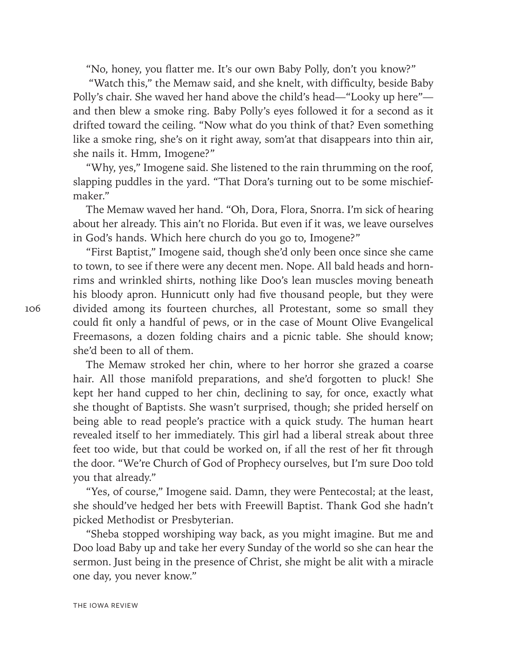"No, honey, you flatter me. It's our own Baby Polly, don't you know?"

 "Watch this," the Memaw said, and she knelt, with difficulty, beside Baby Polly's chair. She waved her hand above the child's head—"Looky up here" and then blew a smoke ring. Baby Polly's eyes followed it for a second as it drifted toward the ceiling. "Now what do you think of that? Even something like a smoke ring, she's on it right away, som'at that disappears into thin air, she nails it. Hmm, Imogene?"

"Why, yes," Imogene said. She listened to the rain thrumming on the roof, slapping puddles in the yard. "That Dora's turning out to be some mischiefmaker."

The Memaw waved her hand. "Oh, Dora, Flora, Snorra. I'm sick of hearing about her already. This ain't no Florida. But even if it was, we leave ourselves in God's hands. Which here church do you go to, Imogene?"

"First Baptist," Imogene said, though she'd only been once since she came to town, to see if there were any decent men. Nope. All bald heads and hornrims and wrinkled shirts, nothing like Doo's lean muscles moving beneath his bloody apron. Hunnicutt only had five thousand people, but they were divided among its fourteen churches, all Protestant, some so small they could fit only a handful of pews, or in the case of Mount Olive Evangelical Freemasons, a dozen folding chairs and a picnic table. She should know; she'd been to all of them.

The Memaw stroked her chin, where to her horror she grazed a coarse hair. All those manifold preparations, and she'd forgotten to pluck! She kept her hand cupped to her chin, declining to say, for once, exactly what she thought of Baptists. She wasn't surprised, though; she prided herself on being able to read people's practice with a quick study. The human heart revealed itself to her immediately. This girl had a liberal streak about three feet too wide, but that could be worked on, if all the rest of her fit through the door. "We're Church of God of Prophecy ourselves, but I'm sure Doo told you that already."

"Yes, of course," Imogene said. Damn, they were Pentecostal; at the least, she should've hedged her bets with Freewill Baptist. Thank God she hadn't picked Methodist or Presbyterian.

"Sheba stopped worshiping way back, as you might imagine. But me and Doo load Baby up and take her every Sunday of the world so she can hear the sermon. Just being in the presence of Christ, she might be alit with a miracle one day, you never know."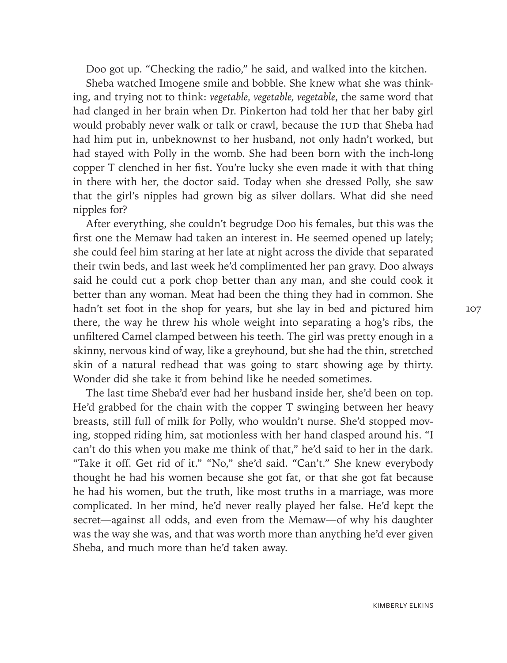Doo got up. "Checking the radio," he said, and walked into the kitchen.

Sheba watched Imogene smile and bobble. She knew what she was thinking, and trying not to think: *vegetable, vegetable, vegetable*, the same word that had clanged in her brain when Dr. Pinkerton had told her that her baby girl would probably never walk or talk or crawl, because the IUD that Sheba had had him put in, unbeknownst to her husband, not only hadn't worked, but had stayed with Polly in the womb. She had been born with the inch-long copper T clenched in her fist. You're lucky she even made it with that thing in there with her, the doctor said. Today when she dressed Polly, she saw that the girl's nipples had grown big as silver dollars. What did she need nipples for?

After everything, she couldn't begrudge Doo his females, but this was the first one the Memaw had taken an interest in. He seemed opened up lately; she could feel him staring at her late at night across the divide that separated their twin beds, and last week he'd complimented her pan gravy. Doo always said he could cut a pork chop better than any man, and she could cook it better than any woman. Meat had been the thing they had in common. She hadn't set foot in the shop for years, but she lay in bed and pictured him there, the way he threw his whole weight into separating a hog's ribs, the unfiltered Camel clamped between his teeth. The girl was pretty enough in a skinny, nervous kind of way, like a greyhound, but she had the thin, stretched skin of a natural redhead that was going to start showing age by thirty. Wonder did she take it from behind like he needed sometimes.

The last time Sheba'd ever had her husband inside her, she'd been on top. He'd grabbed for the chain with the copper T swinging between her heavy breasts, still full of milk for Polly, who wouldn't nurse. She'd stopped moving, stopped riding him, sat motionless with her hand clasped around his. "I can't do this when you make me think of that," he'd said to her in the dark. "Take it off. Get rid of it." "No," she'd said. "Can't." She knew everybody thought he had his women because she got fat, or that she got fat because he had his women, but the truth, like most truths in a marriage, was more complicated. In her mind, he'd never really played her false. He'd kept the secret—against all odds, and even from the Memaw—of why his daughter was the way she was, and that was worth more than anything he'd ever given Sheba, and much more than he'd taken away.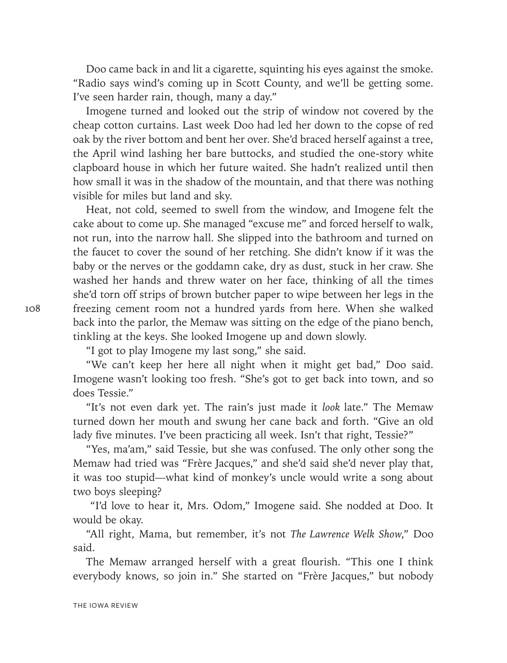Doo came back in and lit a cigarette, squinting his eyes against the smoke. "Radio says wind's coming up in Scott County, and we'll be getting some. I've seen harder rain, though, many a day."

Imogene turned and looked out the strip of window not covered by the cheap cotton curtains. Last week Doo had led her down to the copse of red oak by the river bottom and bent her over. She'd braced herself against a tree, the April wind lashing her bare buttocks, and studied the one-story white clapboard house in which her future waited. She hadn't realized until then how small it was in the shadow of the mountain, and that there was nothing visible for miles but land and sky.

Heat, not cold, seemed to swell from the window, and Imogene felt the cake about to come up. She managed "excuse me" and forced herself to walk, not run, into the narrow hall. She slipped into the bathroom and turned on the faucet to cover the sound of her retching. She didn't know if it was the baby or the nerves or the goddamn cake, dry as dust, stuck in her craw. She washed her hands and threw water on her face, thinking of all the times she'd torn off strips of brown butcher paper to wipe between her legs in the freezing cement room not a hundred yards from here. When she walked back into the parlor, the Memaw was sitting on the edge of the piano bench, tinkling at the keys. She looked Imogene up and down slowly.

"I got to play Imogene my last song," she said.

"We can't keep her here all night when it might get bad," Doo said. Imogene wasn't looking too fresh. "She's got to get back into town, and so does Tessie."

"It's not even dark yet. The rain's just made it *look* late." The Memaw turned down her mouth and swung her cane back and forth. "Give an old lady five minutes. I've been practicing all week. Isn't that right, Tessie?"

"Yes, ma'am," said Tessie, but she was confused. The only other song the Memaw had tried was "Frère Jacques," and she'd said she'd never play that, it was too stupid—what kind of monkey's uncle would write a song about two boys sleeping?

 "I'd love to hear it, Mrs. Odom," Imogene said. She nodded at Doo. It would be okay.

"All right, Mama, but remember, it's not *The Lawrence Welk Show*," Doo said.

The Memaw arranged herself with a great flourish. "This one I think everybody knows, so join in." She started on "Frère Jacques," but nobody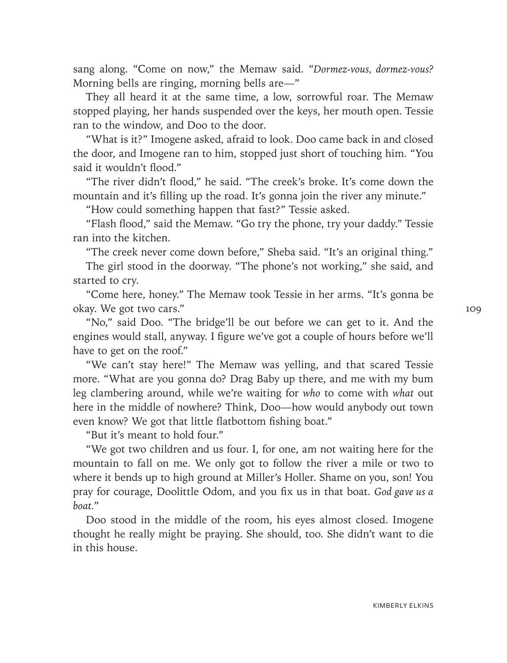sang along. "Come on now," the Memaw said. "*Dormez-vous, dormez-vous?* Morning bells are ringing, morning bells are—"

They all heard it at the same time, a low, sorrowful roar. The Memaw stopped playing, her hands suspended over the keys, her mouth open. Tessie ran to the window, and Doo to the door.

"What is it?" Imogene asked, afraid to look. Doo came back in and closed the door, and Imogene ran to him, stopped just short of touching him. "You said it wouldn't flood."

"The river didn't flood," he said. "The creek's broke. It's come down the mountain and it's filling up the road. It's gonna join the river any minute."

"How could something happen that fast?" Tessie asked.

"Flash flood," said the Memaw. "Go try the phone, try your daddy." Tessie ran into the kitchen.

"The creek never come down before," Sheba said. "It's an original thing."

The girl stood in the doorway. "The phone's not working," she said, and started to cry.

"Come here, honey." The Memaw took Tessie in her arms. "It's gonna be okay. We got two cars."

"No," said Doo. "The bridge'll be out before we can get to it. And the engines would stall, anyway. I figure we've got a couple of hours before we'll have to get on the roof."

"We can't stay here!" The Memaw was yelling, and that scared Tessie more. "What are you gonna do? Drag Baby up there, and me with my bum leg clambering around, while we're waiting for *who* to come with *what* out here in the middle of nowhere? Think, Doo—how would anybody out town even know? We got that little flatbottom fishing boat."

"But it's meant to hold four."

"We got two children and us four. I, for one, am not waiting here for the mountain to fall on me. We only got to follow the river a mile or two to where it bends up to high ground at Miller's Holler. Shame on you, son! You pray for courage, Doolittle Odom, and you fix us in that boat. *God gave us a boat.*"

Doo stood in the middle of the room, his eyes almost closed. Imogene thought he really might be praying. She should, too. She didn't want to die in this house.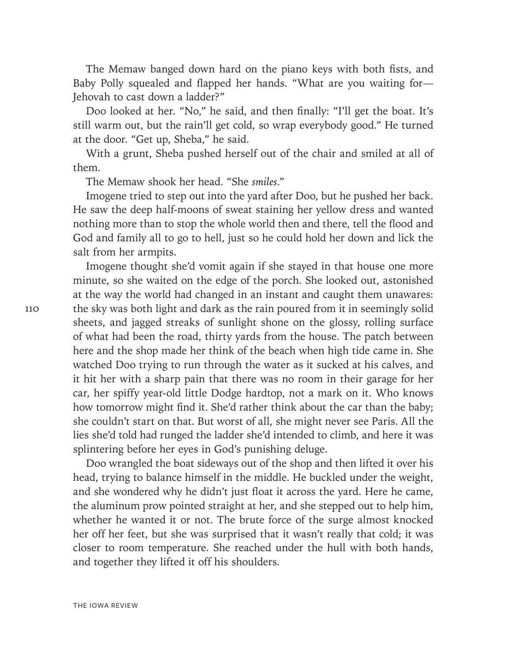The Memaw banged down hard on the piano keys with both fists, and Baby Polly squealed and flapped her hands. "What are you waiting for— Jehovah to cast down a ladder?"

Doo looked at her. "No," he said, and then finally: "I'll get the boat. It's still warm out, but the rain'll get cold, so wrap everybody good." He turned at the door. "Get up, Sheba," he said.

With a grunt, Sheba pushed herself out of the chair and smiled at all of them.

The Memaw shook her head. "She *smiles*."

Imogene tried to step out into the yard after Doo, but he pushed her back. He saw the deep half-moons of sweat staining her yellow dress and wanted nothing more than to stop the whole world then and there, tell the flood and God and family all to go to hell, just so he could hold her down and lick the salt from her armpits.

Imogene thought she'd vomit again if she stayed in that house one more minute, so she waited on the edge of the porch. She looked out, astonished at the way the world had changed in an instant and caught them unawares: the sky was both light and dark as the rain poured from it in seemingly solid sheets, and jagged streaks of sunlight shone on the glossy, rolling surface of what had been the road, thirty yards from the house. The patch between here and the shop made her think of the beach when high tide came in. She watched Doo trying to run through the water as it sucked at his calves, and it hit her with a sharp pain that there was no room in their garage for her car, her spiffy year-old little Dodge hardtop, not a mark on it. Who knows how tomorrow might find it. She'd rather think about the car than the baby; she couldn't start on that. But worst of all, she might never see Paris. All the lies she'd told had runged the ladder she'd intended to climb, and here it was splintering before her eyes in God's punishing deluge.

Doo wrangled the boat sideways out of the shop and then lifted it over his head, trying to balance himself in the middle. He buckled under the weight, and she wondered why he didn't just float it across the yard. Here he came, the aluminum prow pointed straight at her, and she stepped out to help him, whether he wanted it or not. The brute force of the surge almost knocked her off her feet, but she was surprised that it wasn't really that cold; it was closer to room temperature. She reached under the hull with both hands, and together they lifted it off his shoulders.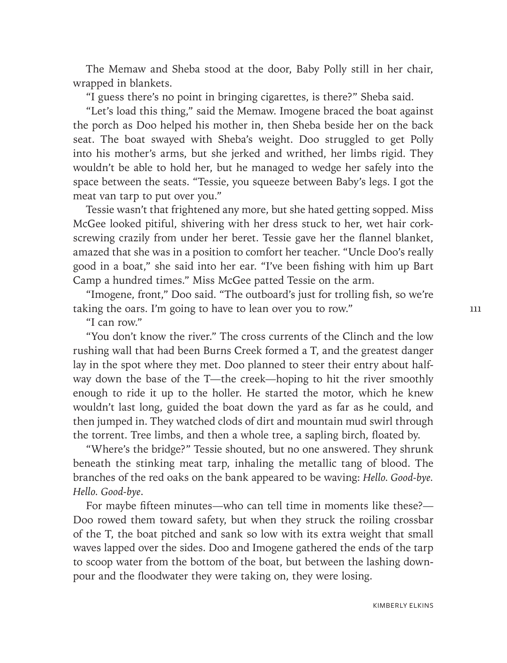The Memaw and Sheba stood at the door, Baby Polly still in her chair, wrapped in blankets.

"I guess there's no point in bringing cigarettes, is there?" Sheba said.

"Let's load this thing," said the Memaw. Imogene braced the boat against the porch as Doo helped his mother in, then Sheba beside her on the back seat. The boat swayed with Sheba's weight. Doo struggled to get Polly into his mother's arms, but she jerked and writhed, her limbs rigid. They wouldn't be able to hold her, but he managed to wedge her safely into the space between the seats. "Tessie, you squeeze between Baby's legs. I got the meat van tarp to put over you."

Tessie wasn't that frightened any more, but she hated getting sopped. Miss McGee looked pitiful, shivering with her dress stuck to her, wet hair corkscrewing crazily from under her beret. Tessie gave her the flannel blanket, amazed that she was in a position to comfort her teacher. "Uncle Doo's really good in a boat," she said into her ear. "I've been fishing with him up Bart Camp a hundred times." Miss McGee patted Tessie on the arm.

"Imogene, front," Doo said. "The outboard's just for trolling fish, so we're taking the oars. I'm going to have to lean over you to row."

"I can row."

"You don't know the river." The cross currents of the Clinch and the low rushing wall that had been Burns Creek formed a T, and the greatest danger lay in the spot where they met. Doo planned to steer their entry about halfway down the base of the T—the creek—hoping to hit the river smoothly enough to ride it up to the holler. He started the motor, which he knew wouldn't last long, guided the boat down the yard as far as he could, and then jumped in. They watched clods of dirt and mountain mud swirl through the torrent. Tree limbs, and then a whole tree, a sapling birch, floated by.

"Where's the bridge?" Tessie shouted, but no one answered. They shrunk beneath the stinking meat tarp, inhaling the metallic tang of blood. The branches of the red oaks on the bank appeared to be waving: *Hello. Good-bye. Hello. Good-bye*.

For maybe fifteen minutes—who can tell time in moments like these?— Doo rowed them toward safety, but when they struck the roiling crossbar of the T, the boat pitched and sank so low with its extra weight that small waves lapped over the sides. Doo and Imogene gathered the ends of the tarp to scoop water from the bottom of the boat, but between the lashing downpour and the floodwater they were taking on, they were losing.